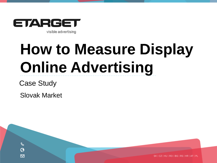

# **How to Measure Display Online Advertising**

Case Study

 $\mathscr{C}$ G ⊠

Slovak Market

SK | CZ | HU | RO | BG | RS | HR | AT | PL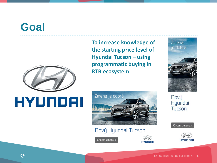### **Goal**



## HYUNDAI

**To increase knowledge of the starting price level of Hyundai Tucson - using programmatic buying in RTB ecosystem.** 





#### Nový Hyundai Tucson

Chcem zmenu >



HYUNDAI

**Nový** Hyundai Tucson

Chcem zmenu >

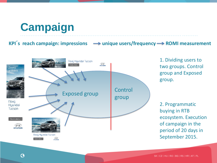### **Campaign**

**KPI**<sup> $\cdot$ </sup>**s** reach campaign: impressions  $\rightarrow$  unique users/frequency  $\rightarrow$  ROMI measurement



1. Dividing users to two groups. Control group and Exposed group.

2. Programmatic buying in RTB ecosystem. Execution of campaign in the period of 20 days in September 2015.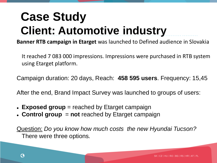## **Case Study Client: Automotive industry**

**Banner RTB campaign in Etarget** was launched to Defined audience in Slovakia

It reached 7 083 000 impressions. Impressions were purchased in RTB system using Etarget platform.

Campaign duration: 20 days, Reach: **458 595 users**. Frequency: 15,45

After the end, Brand Impact Survey was launched to groups of users:

- **Exposed group** = reached by Etarget campaign
- **Control group** = **not** reached by Etarget campaign

Question: *Do you know how much costs the new Hyundai Tucson?*  There were three options*.*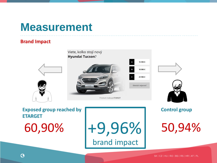### **Measurement**

#### **Brand Impact**



**Exposed group reached by ETARGET** 

60,90% +9,96% 50,94% brand impact

#### **Control group**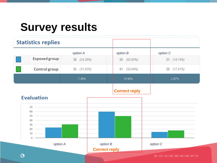### **Survey results**

| <b>Statistics replies</b>            |                      |                      |                                            |
|--------------------------------------|----------------------|----------------------|--------------------------------------------|
|                                      | option A             | option B             | option C                                   |
| <b>Exposed group</b>                 | 38 (24,36%)          | 95 (60,90%)          | 23 (14,74%)                                |
| <b>Control group</b>                 | 50 (31,45%)          | 81 (50,94%)          | 28 (17,61%)                                |
|                                      | $-7.09%$             | $+9.96%$             | $-2.87%$                                   |
| <b>Evaluation</b><br>$70 \leftarrow$ |                      | <b>Correct reply</b> |                                            |
| 50<br>40<br>30<br>$20$ –––           |                      |                      |                                            |
| $10$ –<br>$\Omega$<br>option A       | option B             |                      | option C                                   |
|                                      | <b>Correct reply</b> |                      | SK   CZ   HU   RO   BG   RS   HR   AT   PL |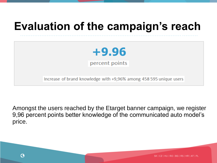### **Evaluation of the campaign's reach**



Increase of brand knowledge with +9,96% among 458 595 unique users

Amongst the users reached by the Etarget banner campaign, we register 9,96 percent points better knowledge of the communicated auto model's price.